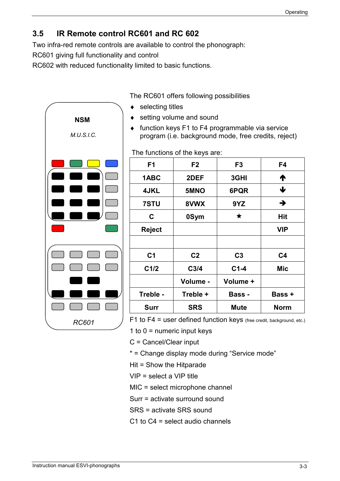## **3.5 IR Remote control RC601 and RC 602**

Two infra-red remote controls are available to control the phonograph:

RC601 giving full functionality and control

RC602 with reduced functionality limited to basic functions.



The RC601 offers following possibilities

- ◆ selecting titles
- setting volume and sound
- ♦ function keys F1 to F4 programmable via service program (i.e. background mode, free credits, reject)

The functions of the keys are:

| F <sub>1</sub> | F <sub>2</sub>   | F <sub>3</sub> | F4             |
|----------------|------------------|----------------|----------------|
| 1ABC           | 2DEF             | 3GHI           | ↑              |
| <b>4JKL</b>    | 5MNO             | 6PQR           | ↓              |
| 7STU           | 8VWX             | 9YZ            | $\rightarrow$  |
| C              | 0Sym             | $\star$        | Hit            |
| <b>Reject</b>  |                  |                | <b>VIP</b>     |
|                |                  |                |                |
| C <sub>1</sub> | C <sub>2</sub>   | C <sub>3</sub> | C <sub>4</sub> |
| C1/2           | C <sub>3/4</sub> | $C1-4$         | Mic            |
|                | Volume -         | Volume +       |                |
| Treble -       | Treble +         | <b>Bass -</b>  | <b>Bass +</b>  |
| <b>Surr</b>    | <b>SRS</b>       | <b>Mute</b>    | <b>Norm</b>    |

F1 to F4 = user defined function keys (free credit, background, etc.)

1 to  $0 =$  numeric input keys

C = Cancel/Clear input

\* = Change display mode during "Service mode"

Hit = Show the Hitparade

VIP = select a VIP title

MIC = select microphone channel

Surr = activate surround sound

SRS = activate SRS sound

C1 to C4 = select audio channels